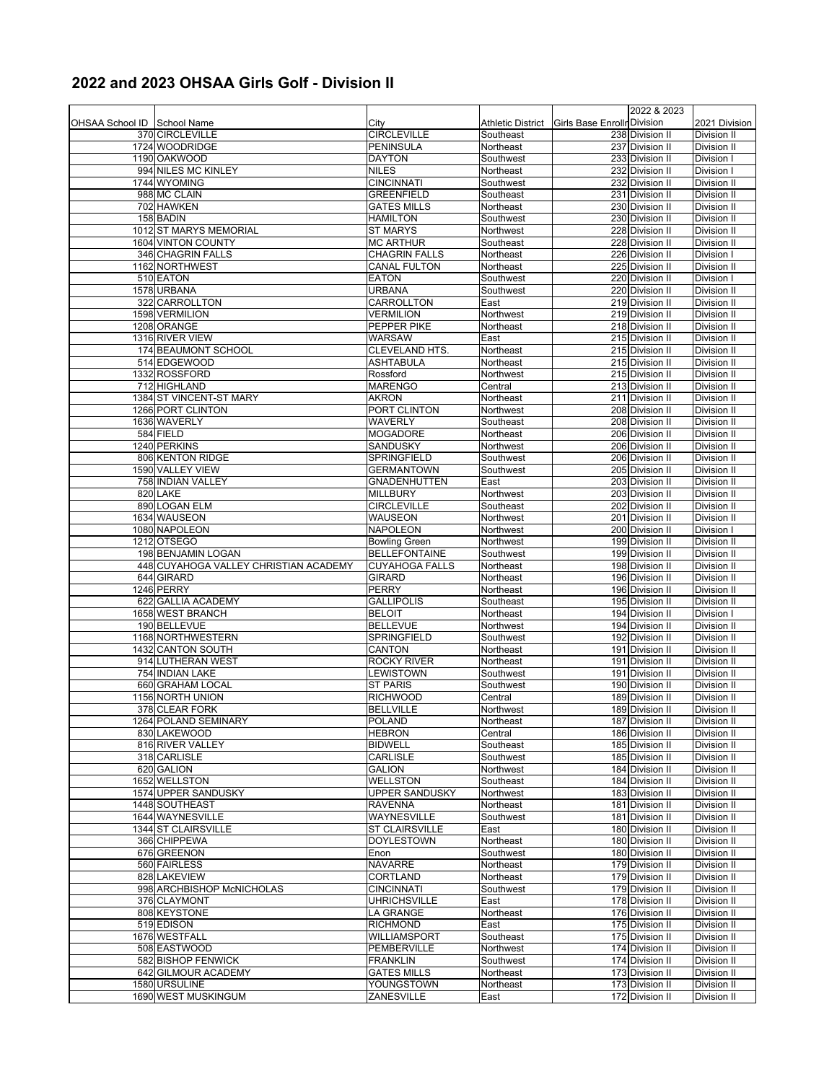## **2022 and 2023 OHSAA Girls Golf - Division II**

|                             |                                                             |                                        |                        |                             | 2022 & 2023                        |                            |
|-----------------------------|-------------------------------------------------------------|----------------------------------------|------------------------|-----------------------------|------------------------------------|----------------------------|
| OHSAA School ID School Name |                                                             | City                                   | Athletic District      | Girls Base Enrollr Division |                                    | 2021 Division              |
|                             | 370 CIRCLEVILLE                                             | <b>CIRCLEVILLE</b>                     | Southeast              |                             | 238 Division II                    | Division II                |
|                             | 1724 WOODRIDGE                                              | <b>PENINSULA</b>                       | Northeast              |                             | 237 Division II                    | Division II                |
|                             | 1190 OAKWOOD                                                | <b>DAYTON</b>                          | Southwest              |                             | 233 Division II                    | Division I                 |
|                             | 994 NILES MC KINLEY                                         | <b>NILES</b>                           | Northeast              |                             | 232 Division II                    | Division I                 |
|                             | 1744 WYOMING                                                | <b>CINCINNATI</b>                      | Southwest              |                             | 232 Division II                    | Division II                |
|                             | 988 MC CLAIN                                                | <b>GREENFIELD</b>                      | Southeast              |                             | 231 Division II                    | Division II                |
|                             | 702 HAWKEN                                                  | <b>GATES MILLS</b>                     | Northeast              |                             | 230 Division II                    | Division II                |
|                             | 158 BADIN                                                   | <b>HAMILTON</b>                        | Southwest              |                             | 230 Division II                    | Division II                |
|                             | 1012 ST MARYS MEMORIAL                                      | <b>ST MARYS</b>                        | Northwest              |                             | 228 Division II                    | Division II                |
|                             | 1604 VINTON COUNTY                                          | <b>MC ARTHUR</b>                       | Southeast              |                             | 228 Division II                    | Division II                |
|                             | 346 CHAGRIN FALLS                                           | <b>CHAGRIN FALLS</b>                   | Northeast              |                             | 226 Division II                    | Division I                 |
|                             | 1162 NORTHWEST                                              | <b>CANAL FULTON</b>                    | Northeast              |                             | $\overline{225}$ Division II       | Division II                |
|                             | 510 EATON                                                   | <b>EATON</b>                           | Southwest              |                             | 220 Division II                    | Division I                 |
|                             | 1578 URBANA                                                 | <b>URBANA</b>                          | Southwest              |                             | 220 Division II                    | Division II                |
|                             | 322 CARROLLTON                                              | CARROLLTON                             | East                   |                             | 219 Division II                    | <b>Division II</b>         |
|                             | 1598 VERMILION                                              | <b>VERMILION</b>                       | Northwest              |                             | 219 Division II                    | Division II                |
|                             | 1208 ORANGE                                                 | PEPPER PIKE                            | Northeast              |                             | 218 Division II                    | Division II                |
|                             | 1316 RIVER VIEW                                             | <b>WARSAW</b>                          | East                   |                             | 215 Division II                    | Division II                |
|                             | 174 BEAUMONT SCHOOL                                         | <b>CLEVELAND HTS</b>                   | Northeast              |                             | 215 Division II                    | Division II                |
|                             | 514 EDGEWOOD                                                | <b>ASHTABULA</b>                       | Northeast              |                             | 215 Division II                    | Division II                |
|                             | 1332 ROSSFORD                                               | Rossford                               | Northwest              |                             | 215 Division II                    | Division II                |
|                             | 712 HIGHLAND                                                | <b>MARENGO</b>                         | Central                |                             | 213 Division II                    | Division II                |
|                             | 1384 ST VINCENT-ST MARY                                     | <b>AKRON</b>                           | Northeast              |                             | 211 Division II                    | Division II                |
|                             | 1266 PORT CLINTON                                           | PORT CLINTON                           | Northwest              |                             | 208 Division II                    | Division II                |
|                             | 1636 WAVERLY                                                | WAVERLY                                | Southeast              |                             | 208 Division II                    | Division II                |
|                             | 584 FIELD                                                   | <b>MOGADORE</b>                        | Northeast              |                             | 206 Division II                    | Division II                |
|                             | 1240 PERKINS                                                | SANDUSKY                               | Northwest              |                             | 206 Division II                    | Division II                |
|                             | 806 KENTON RIDGE                                            | SPRINGFIELD                            | Southwest              |                             | 206 Division II                    | Division II                |
|                             | 1590 VALLEY VIEW                                            | <b>GERMANTOWN</b>                      | Southwest              |                             | 205 Division II                    | Division II                |
|                             | 758 INDIAN VALLEY                                           | <b>GNADENHUTTEN</b>                    | East                   |                             | 203 Division II                    | Division II                |
|                             | 820 LAKE                                                    | <b>MILLBURY</b>                        | Northwest              |                             | 203 Division II                    | Division II                |
|                             | 890 LOGAN ELM                                               | <b>CIRCLEVILLE</b>                     | Southeast              |                             | 202 Division II                    | Division II                |
|                             | 1634 WAUSEON                                                | WAUSEON                                | Northwest              |                             | 201 Division II                    | Division II                |
|                             | 1080 NAPOLEON                                               | NAPOLEON                               | Northwest              |                             | 200 Division II                    | Division I                 |
|                             | 1212 OTSEGO                                                 | <b>Bowling Green</b>                   | Northwest              |                             | 199 Division II                    | Division II                |
|                             | 198 BENJAMIN LOGAN<br>448 CUYAHOGA VALLEY CHRISTIAN ACADEMY | <b>BELLEFONTAINE</b>                   | Southwest              |                             | 199 Division II<br>198 Division II | Division II                |
|                             | 644 GIRARD                                                  | <b>CUYAHOGA FALLS</b><br><b>GIRARD</b> | Northeast<br>Northeast |                             | 196 Division II                    | Division II<br>Division II |
|                             | 1246 PERRY                                                  | <b>PERRY</b>                           | Northeast              |                             | 196 Division II                    | Division II                |
|                             | 622 GALLIA ACADEMY                                          | <b>GALLIPOLIS</b>                      | Southeast              |                             | 195 Division II                    | Division II                |
|                             | 1658 WEST BRANCH                                            | <b>BELOIT</b>                          | Northeast              |                             | 194 Division II                    | Division I                 |
|                             | 190 BELLEVUE                                                | <b>BELLEVUE</b>                        | Northwest              |                             | 194 Division II                    | Division II                |
|                             | 1168 NORTHWESTERN                                           | <b>SPRINGFIELD</b>                     | Southwest              |                             | 192 Division II                    | Division II                |
|                             | 1432 CANTON SOUTH                                           | <b>CANTON</b>                          | Northeast              |                             | 191 Division II                    | Division II                |
|                             | 914 LUTHERAN WEST                                           | <b>ROCKY RIVER</b>                     | Northeast              |                             | 191 Division II                    | Division II                |
|                             | 754 INDIAN LAKE                                             | LEWISTOWN                              | Southwest              |                             | 191 Division II                    | Division II                |
|                             | 660 GRAHAM LOCAL                                            | <b>ST PARIS</b>                        | Southwest              |                             | 190 Division II                    | Division II                |
|                             | 1156 NORTH UNION                                            | <b>RICHWOOD</b>                        | Central                |                             | 189 Division II                    | Division II                |
|                             | 378 CLEAR FORK                                              | <b>BELLVILLE</b>                       | Northwest              |                             | 189 Division II                    | Division II                |
|                             | 1264 POLAND SEMINARY                                        | <b>POLAND</b>                          | Northeast              |                             | 187 Division II                    | Division II                |
|                             | 830 LAKEWOOD                                                | <b>HEBRON</b>                          | Central                |                             | 186 Division II                    | Division II                |
|                             | 816 RIVER VALLEY                                            | <b>BIDWELL</b>                         | Southeast              |                             | 185 Division II                    | Division II                |
|                             | 318 CARLISLE                                                | <b>CARLISLE</b>                        | Southwest              |                             | 185 Division II                    | Division II                |
|                             | 620 GALION                                                  | <b>GALION</b>                          | Northwest              |                             | 184 Division II                    | Division II                |
|                             | 1652 WELLSTON                                               | <b>WELLSTON</b>                        | Southeast              |                             | 184 Division II                    | Division II                |
|                             | 1574 UPPER SANDUSKY                                         | <b>UPPER SANDUSKY</b>                  | Northwest              |                             | 183 Division II                    | Division II                |
|                             | 1448 SOUTHEAST                                              | <b>RAVENNA</b>                         | Northeast              |                             | 181 Division II                    | Division II                |
|                             | 1644 WAYNESVILLE                                            | WAYNESVILLE                            | Southwest              |                             | 181 Division II                    | Division II                |
|                             | 1344 ST CLAIRSVILLE                                         | <b>ST CLAIRSVILLE</b>                  | East                   |                             | 180 Division II                    | Division II                |
|                             | 366 CHIPPEWA                                                | <b>DOYLESTOWN</b>                      | Northeast              |                             | 180 Division II                    | Division II                |
|                             | 676 GREENON                                                 | Enon                                   | Southwest              |                             | 180 Division II                    | Division II                |
|                             | 560 FAIRLESS                                                | <b>NAVARRE</b>                         | Northeast              |                             | 179 Division II                    | Division II                |
|                             | 828 LAKEVIEW                                                | CORTLAND                               | Northeast              |                             | 179 Division II                    | Division II                |
|                             | 998 ARCHBISHOP McNICHOLAS                                   | <b>CINCINNATI</b>                      | Southwest              |                             | 179 Division II                    | Division II                |
|                             | 376 CLAYMONT                                                | <b>UHRICHSVILLE</b>                    | East                   |                             | 178 Division II                    | Division II                |
|                             | 808 KEYSTONE                                                | LA GRANGE                              | Northeast              |                             | 176 Division II                    | Division II                |
|                             | 519 EDISON                                                  | <b>RICHMOND</b>                        | East                   |                             | 175 Division II                    | Division II                |
|                             | 1676 WESTFALL                                               | <b>WILLIAMSPORT</b>                    | Southeast              |                             | 175 Division II                    | Division II                |
|                             | 508 EASTWOOD                                                | PEMBERVILLE                            | Northwest              |                             | 174 Division II                    | Division II                |
|                             | 582 BISHOP FENWICK                                          | <b>FRANKLIN</b>                        | Southwest              |                             | 174 Division II                    | Division II                |
|                             | 642 GILMOUR ACADEMY                                         | <b>GATES MILLS</b>                     | Northeast              |                             | 173 Division II                    | Division II                |
|                             | 1580 URSULINE                                               | YOUNGSTOWN                             | Northeast              |                             | 173 Division II                    | Division II                |
|                             | 1690 WEST MUSKINGUM                                         | ZANESVILLE                             | East                   |                             | 172 Division II                    | Division II                |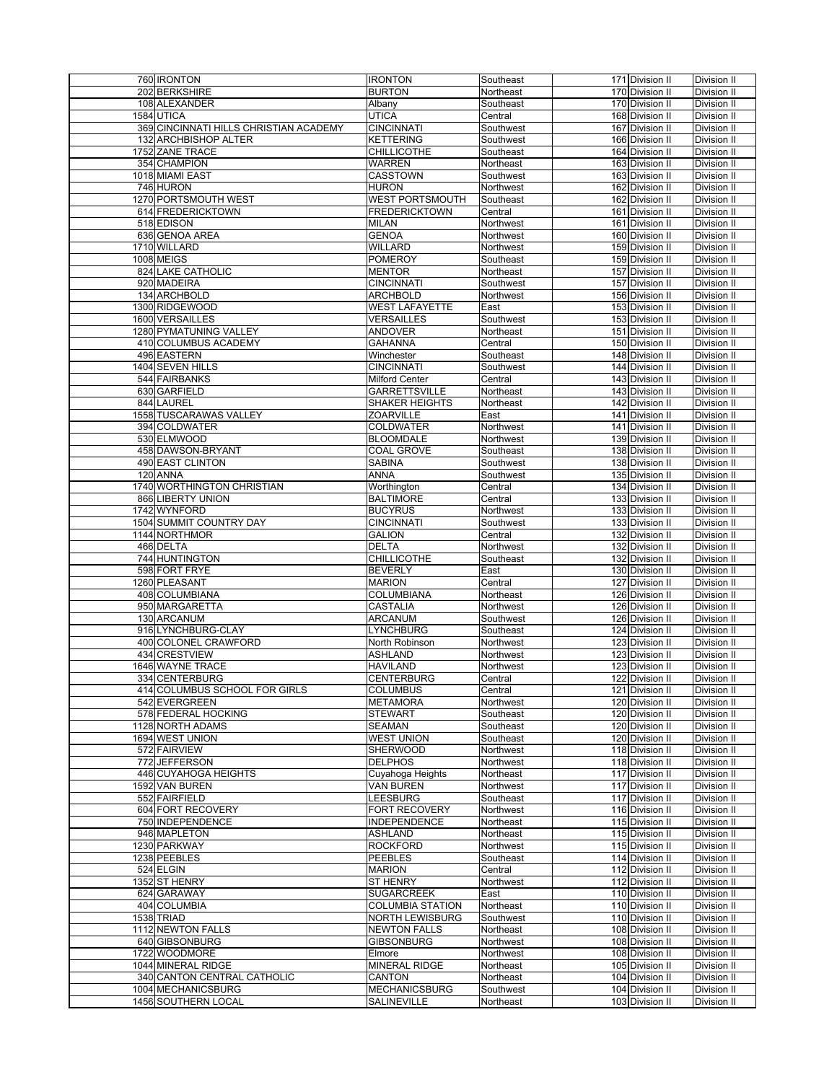| 760 IRONTON                               | <b>IRONTON</b>                      | Southeast              | 171 Division II                    | Division II                |
|-------------------------------------------|-------------------------------------|------------------------|------------------------------------|----------------------------|
| 202 BERKSHIRE                             | <b>BURTON</b>                       | Northeast              | 170 Division II                    | Division II                |
| 108 ALEXANDER                             |                                     |                        |                                    |                            |
|                                           | Albany                              | Southeast              | 170 Division II                    | Division II                |
| 1584 UTICA                                | <b>UTICA</b>                        | Central                | 168 Division II                    | Division II                |
| 369 CINCINNATI HILLS CHRISTIAN ACADEMY    | <b>CINCINNATI</b>                   | Southwest              | 167 Division II                    | Division II                |
| 132 ARCHBISHOP ALTER                      | <b>KETTERING</b>                    | Southwest              | 166 Division II                    | Division II                |
| 1752 ZANE TRACE                           | <b>CHILLICOTHE</b>                  | Southeast              | 164 Division II                    | Division II                |
| 354 CHAMPION                              | <b>WARREN</b>                       | Northeast              | 163 Division II                    | Division II                |
| 1018 MIAMI EAST                           | <b>CASSTOWN</b>                     | Southwest              | 163 Division II                    | Division II                |
| 746 HURON                                 | HURON                               | Northwest              | 162 Division II                    | Division II                |
| 1270 PORTSMOUTH WEST                      | <b>WEST PORTSMOUTH</b>              | Southeast              | 162 Division II                    | Division II                |
| 614 FREDERICKTOWN                         | FREDERICKTOWN                       | Central                | 161 Division II                    | Division II                |
| 518 EDISON                                | MILAN                               | Northwest              | 161 Division II                    | Division II                |
| 636 GENOA AREA                            | <b>GENOA</b>                        |                        | 160 Division II                    | Division II                |
| 1710 WILLARD                              | <b>WILLARD</b>                      | Northwest              | 159 Division II                    |                            |
|                                           |                                     | Northwest              |                                    | Division II                |
| <b>1008 MEIGS</b>                         | <b>POMEROY</b>                      | Southeast              | 159 Division II                    | Division II                |
| 824 LAKE CATHOLIC                         | <b>MENTOR</b>                       | Northeast              | 157 Division II                    | Division II                |
| 920 MADEIRA                               | <b>CINCINNATI</b>                   | Southwest              | 157 Division II                    | Division II                |
| 134 ARCHBOLD                              | ARCHBOLD                            | Northwest              | 156 Division II                    | Division II                |
| 1300 RIDGEWOOD                            | WEST LAFAYETTE                      | East                   | 153 Division II                    | Division II                |
| 1600 VERSAILLES                           | VERSAILLES                          | Southwest              | 153 Division II                    | Division II                |
| 1280 PYMATUNING VALLEY                    | <b>ANDOVER</b>                      | Northeast              | 151 Division II                    | Division II                |
| 410 COLUMBUS ACADEMY                      | <b>GAHANNA</b>                      | Central                | 150 Division II                    | Division II                |
| 496 EASTERN                               | Winchester                          | Southeast              | 148 Division II                    | Division II                |
| 1404 SEVEN HILLS                          | <b>CINCINNATI</b>                   | Southwest              | 144 Division II                    | Division II                |
| 544 FAIRBANKS                             | Milford Center                      | Central                | 143 Division II                    | Division II                |
| 630 GARFIELD                              | GARRETTSVILLE                       | Northeast              | 143 Division II                    | Division II                |
| 844 LAUREL                                | SHAKER HEIGHTS                      | Northeast              | 142 Division II                    | Division II                |
| 1558 TUSCARAWAS VALLEY                    | <b>ZOARVILLE</b>                    | East                   | 141 Division II                    | Division II                |
| 394 COLDWATER                             | COLDWATER                           | Northwest              | 141 Division II                    | Division II                |
| 530 ELMWOOD                               |                                     |                        |                                    |                            |
| 458 DAWSON-BRYANT                         | <b>BLOOMDALE</b>                    | Northwest<br>Southeast | 139 Division II<br>138 Division II | Division II<br>Division II |
|                                           | COAL GROVE                          |                        |                                    |                            |
| 490 EAST CLINTON                          | SABINA                              | Southwest              | 138 Division II                    | <b>Division II</b>         |
| 120 ANNA                                  | ANNA                                | Southwest              | 135 Division II                    | Division II                |
| 1740 WORTHINGTON CHRISTIAN                | Worthington                         | Central                | 134 Division II                    | Division II                |
| 866 LIBERTY UNION                         | <b>BALTIMORE</b>                    | Central                | 133 Division II                    | Division II                |
| 1742 WYNFORD                              | <b>BUCYRUS</b>                      | Northwest              | 133 Division II                    | Division II                |
| 1504 SUMMIT COUNTRY DAY                   | <b>CINCINNATI</b>                   | Southwest              | 133 Division II                    | Division II                |
| 1144 NORTHMOR                             | GALION                              | Central                | 132 Division II                    | Division II                |
|                                           |                                     |                        |                                    |                            |
| 466 DELTA                                 | DELTA                               | Northwest              | 132 Division II                    | Division II                |
| 744 HUNTINGTON                            | CHILLICOTHE                         | Southeast              | 132 Division II                    | Division II                |
|                                           | <b>BEVERLY</b>                      | East                   | 130 Division II                    | Division II                |
| 598 FORT FRYE                             |                                     |                        |                                    |                            |
| 1260 PLEASANT                             | <b>MARION</b>                       | Central                | 127 Division II                    | Division II                |
| 408 COLUMBIANA                            | <b>COLUMBIANA</b>                   | Northeast              | 126 Division II                    | Division II                |
| 950 MARGARETTA                            | <b>CASTALIA</b>                     | Northwest              | 126 Division II                    | Division II                |
| 130 ARCANUM                               | <b>ARCANUM</b>                      | Southwest              | 126 Division II                    | Division II                |
| 916LYNCHBURG-CLAY                         | LYNCHBURG                           | Southeast              | 124 Division II                    | Division II                |
| 400 COLONEL CRAWFORD                      | North Robinson                      | Northwest              | 123 Division II                    | Division II                |
| 434 CRESTVIEW                             | ASHLAND                             | Northwest              | 123 Division II                    | Division II                |
| 1646 WAYNE TRACE                          | <b>HAVILAND</b>                     | Northwest              | 123 Division II                    | Division II                |
| 334 CENTERBURG                            | <b>CENTERBURG</b>                   | Central                | 122 Division II                    | Division II                |
| 414 COLUMBUS SCHOOL FOR GIRLS             | <b>COLUMBUS</b>                     | Central                | 121 Division II                    | Division II                |
| 542 EVERGREEN                             | <b>METAMORA</b>                     | Northwest              | 120 Division II                    | Division II                |
| 578 FEDERAL HOCKING                       | <b>STEWART</b>                      | Southeast              | 120 Division II                    | Division II                |
| 1128 NORTH ADAMS                          | <b>SEAMAN</b>                       | Southeast              | 120 Division II                    | Division II                |
| 1694 WEST UNION                           | <b>WEST UNION</b>                   | Southeast              | 120 Division II                    | Division II                |
| 572 FAIRVIEW                              | <b>SHERWOOD</b>                     | Northwest              | 118 Division II                    | Division II                |
| 772 JEFFERSON                             | <b>DELPHOS</b>                      | Northwest              | 118 Division II                    | Division II                |
| 446 CUYAHOGA HEIGHTS                      | Cuyahoga Heights                    | Northeast              | 117 Division II                    | Division II                |
| 1592 VAN BUREN                            | VAN BUREN                           | Northwest              | 117 Division II                    | Division II                |
| 552 FAIRFIELD                             | LEESBURG                            | Southeast              | 117 Division II                    | Division II                |
| 604 FORT RECOVERY                         | FORT RECOVERY                       | Northwest              | 116 Division II                    | Division II                |
|                                           |                                     | Northeast              | 115 Division II                    |                            |
| 750 INDEPENDENCE<br>946 MAPLETON          | INDEPENDENCE<br><b>ASHLAND</b>      | Northeast              | 115 Division II                    | Division II<br>Division II |
|                                           |                                     |                        |                                    |                            |
| 1230 PARKWAY                              | ROCKFORD                            | Northwest              | 115 Division II                    | Division II                |
| 1238 PEEBLES                              | PEEBLES                             | Southeast              | 114 Division II                    | Division II                |
| 524 ELGIN                                 | <b>MARION</b>                       | Central                | 112 Division II                    | Division II                |
| 1352 ST HENRY                             | <b>ST HENRY</b>                     | Northwest              | 112 Division II                    | Division II                |
| 624 GARAWAY                               | <b>SUGARCREEK</b>                   | East                   | 110 Division II                    | Division II                |
| 404 COLUMBIA                              | <b>COLUMBIA STATION</b>             | Northeast              | 110 Division II                    | Division II                |
| 1538 TRIAD                                | <b>NORTH LEWISBURG</b>              | Southwest              | 110 Division II                    | Division II                |
| 1112 NEWTON FALLS                         | <b>NEWTON FALLS</b>                 | Northeast              | 108 Division II                    | Division II                |
| 640 GIBSONBURG                            | <b>GIBSONBURG</b>                   | Northwest              | 108 Division II                    | Division II                |
| 1722 WOODMORE                             | Elmore                              | Northwest              | 108 Division II                    | Division II                |
| 1044 MINERAL RIDGE                        | MINERAL RIDGE                       | Northeast              | 105 Division II                    | Division II                |
| 340 CANTON CENTRAL CATHOLIC               | CANTON                              | Northeast              | 104 Division II                    | Division II                |
| 1004 MECHANICSBURG<br>1456 SOUTHERN LOCAL | <b>MECHANICSBURG</b><br>SALINEVILLE | Southwest              | 104 Division II<br>103 Division II | Division II<br>Division II |